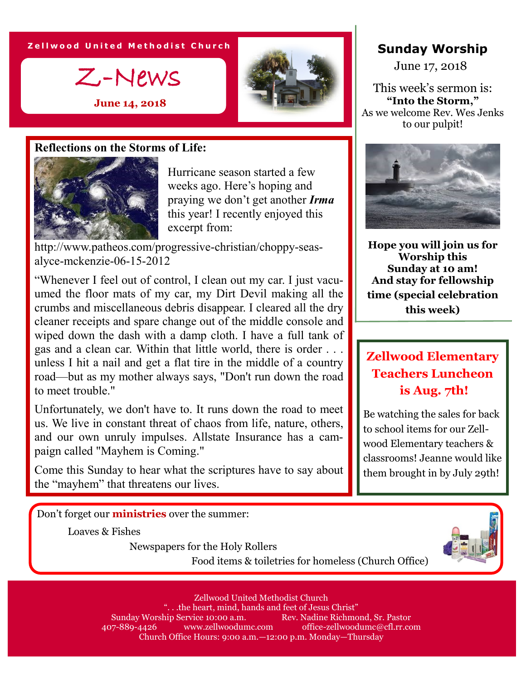

**June 14, 2018**



## **Reflections on the Storms of Life:**



Hurricane season started a few weeks ago. Here's hoping and praying we don't get another *Irma*  this year! I recently enjoyed this excerpt from:

http://www.patheos.com/progressive-christian/choppy-seasalyce-mckenzie-06-15-2012

"Whenever I feel out of control, I clean out my car. I just vacuumed the floor mats of my car, my Dirt Devil making all the crumbs and miscellaneous debris disappear. I cleared all the dry cleaner receipts and spare change out of the middle console and wiped down the dash with a damp cloth. I have a full tank of gas and a clean car. Within that little world, there is order . . . unless I hit a nail and get a flat tire in the middle of a country road—but as my mother always says, "Don't run down the road to meet trouble."

Unfortunately, we don't have to. It runs down the road to meet us. We live in constant threat of chaos from life, nature, others, and our own unruly impulses. Allstate Insurance has a campaign called "Mayhem is Coming."

Come this Sunday to hear what the scriptures have to say about the "mayhem" that threatens our lives.

## **Sunday Worship**

June 17, 2018

This week's sermon is: **"Into the Storm,"** As we welcome Rev. Wes Jenks to our pulpit!



**Hope you will join us for Worship this Sunday at 10 am! And stay for fellowship time (special celebration this week)**

## **Zellwood Elementary Teachers Luncheon is Aug. 7th!**

Be watching the sales for back to school items for our Zellwood Elementary teachers & classrooms! Jeanne would like them brought in by July 29th!

Don't forget our **ministries** over the summer:

Loaves & Fishes

Newspapers for the Holy Rollers

Food items & toiletries for homeless (Church Office)



Zellwood United Methodist Church "...the heart, mind, hands and feet of Jesus Christ"<br>hip Service 10:00 a.m. Rev. Nadine Richmond. Sr. Pastor Sunday Worship Service 10:00 a.m. 407-889-4426 www.zellwoodumc.com office-zellwoodumc@cfl.rr.com Church Office Hours: 9:00 a.m.—12:00 p.m. Monday—Thursday